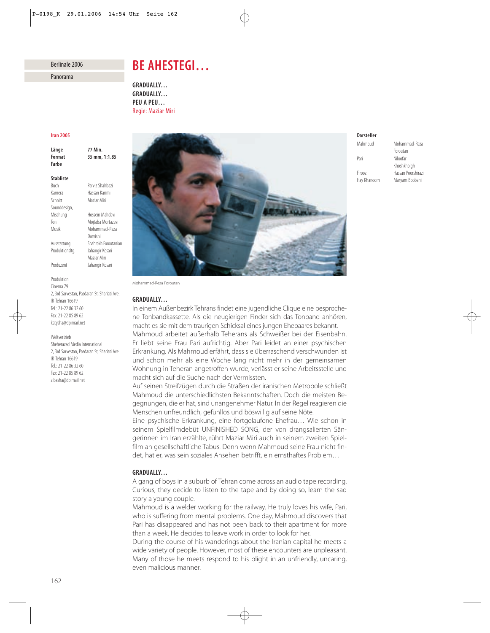## Berlinale 2006

Panorama

# *BE AHESTEGI…*

*GRADUALLY… GRADUALLY… PEU A PEU…* Regie: Maziar Miri

#### *Iran 2005*

*Länge 77 Min. Format 35 mm, 1:1.85 Farbe Stabliste* Parviz Shahbazi Kamera Hassan Karimi Schnitt Maziar Miri Sounddesign, Mischung Hossein Mahdavi Ton Mojtaba Mortazavi Musik Mohammad-Reza Darvishi

Ausstattung Shahrokh Foroutanian Produktionsltg. Jahangir Kosari Maziar Miri Produzent Jahangir Kosari

Cinema 79 2, 3rd Sarvestan, Pasdaran St, Shariati Ave. IR-Tehran 16619 Tel.: 21-22 86 32 60 Fax: 21-22 85 89 62 katysha@dpimail.net

#### Weltvertrieb

Produktion

Sheherazad Media International 2, 3rd Sarvestan, Pasdaran St, Shariati Ave. IR-Tehran 16619 Tel.: 21-22 86 32 60 Fax: 21-22 85 89 62 zibasha@dpimail.net



Mohammad-Reza Foroutan

## *GRADUALLY…*

In einem Außenbezirk Tehrans findet eine jugendliche Clique eine besprochene Tonbandkassette. Als die neugierigen Finder sich das Tonband anhören, macht es sie mit dem traurigen Schicksal eines jungen Ehepaares bekannt.

Mahmoud arbeitet außerhalb Teherans als Schweißer bei der Eisenbahn. Er liebt seine Frau Pari aufrichtig. Aber Pari leidet an einer psychischen Erkrankung. Als Mahmoud erfährt, dass sie überraschend verschwunden ist und schon mehr als eine Woche lang nicht mehr in der gemeinsamen Wohnung in Teheran angetroffen wurde, verlässt er seine Arbeitsstelle und macht sich auf die Suche nach der Vermissten.

Auf seinen Streifzügen durch die Straßen der iranischen Metropole schließt Mahmoud die unterschiedlichsten Bekanntschaften. Doch die meisten Begegnungen, die er hat, sind unangenehmer Natur. In der Regel reagieren die Menschen unfreundlich, gefühllos und böswillig auf seine Nöte.

Eine psychische Erkrankung, eine fortgelaufene Ehefrau… Wie schon in seinem Spielfilmdebüt UNFINISHED SONG, der von drangsalierten Sängerinnen im Iran erzählte, rührt Maziar Miri auch in seinem zweiten Spielfilm an gesellschaftliche Tabus. Denn wenn Mahmoud seine Frau nicht findet, hat er, was sein soziales Ansehen betrifft, ein ernsthaftes Problem…

## *GRADUALLY…*

A gang of boys in a suburb of Tehran come across an audio tape recording. Curious, they decide to listen to the tape and by doing so, learn the sad story a young couple.

Mahmoud is a welder working for the railway. He truly loves his wife, Pari, who is suffering from mental problems. One day, Mahmoud discovers that Pari has disappeared and has not been back to their apartment for more than a week. He decides to leave work in order to look for her.

During the course of his wanderings about the Iranian capital he meets a wide variety of people. However, most of these encounters are unpleasant. Many of those he meets respond to his plight in an unfriendly, uncaring, even malicious manner.

## *Darsteller*

Mahmoud Mohammad-Reza Foroutan Pari Niloofar Khoshkholgh Firooz Hassan Poorshirazi Maryam Boobani